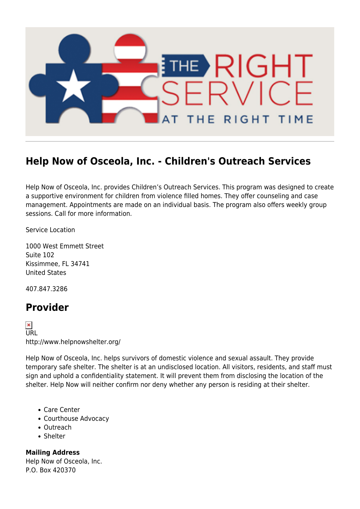

## **Help Now of Osceola, Inc. - Children's Outreach Services**

Help Now of Osceola, Inc. provides Children's Outreach Services. This program was designed to create a supportive environment for children from violence filled homes. They offer counseling and case management. Appointments are made on an individual basis. The program also offers weekly group sessions. Call for more information.

Service Location

1000 West Emmett Street Suite 102 Kissimmee, FL 34741 United States

407.847.3286

## **Provider**

 $\frac{\mathbf{x}}{\mathsf{URL}}$ http://www.helpnowshelter.org/

Help Now of Osceola, Inc. helps survivors of domestic violence and sexual assault. They provide temporary safe shelter. The shelter is at an undisclosed location. All visitors, residents, and staff must sign and uphold a confidentiality statement. It will prevent them from disclosing the location of the shelter. Help Now will neither confirm nor deny whether any person is residing at their shelter.

- Care Center
- Courthouse Advocacy
- Outreach
- Shelter

**Mailing Address** Help Now of Osceola, Inc. P.O. Box 420370